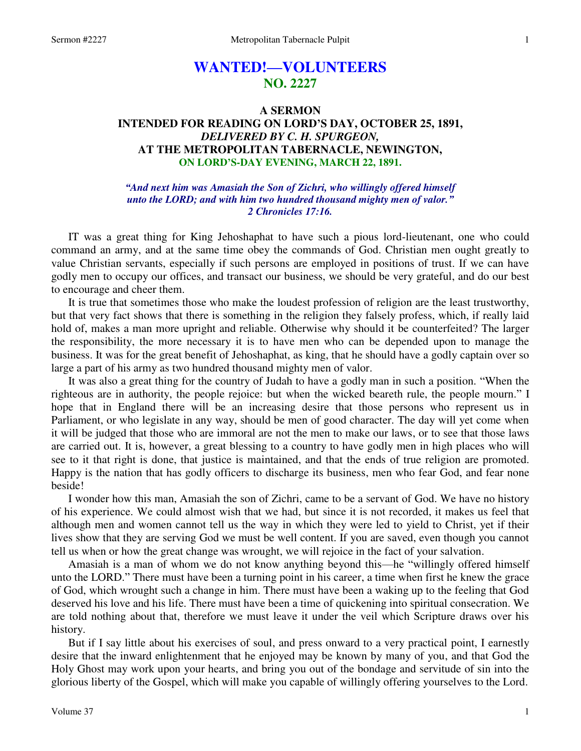# **WANTED!—VOLUNTEERS NO. 2227**

## **A SERMON INTENDED FOR READING ON LORD'S DAY, OCTOBER 25, 1891,**  *DELIVERED BY C. H. SPURGEON,*  **AT THE METROPOLITAN TABERNACLE, NEWINGTON, ON LORD'S-DAY EVENING, MARCH 22, 1891.**

#### *"And next him was Amasiah the Son of Zichri, who willingly offered himself unto the LORD; and with him two hundred thousand mighty men of valor." 2 Chronicles 17:16.*

IT was a great thing for King Jehoshaphat to have such a pious lord-lieutenant, one who could command an army, and at the same time obey the commands of God. Christian men ought greatly to value Christian servants, especially if such persons are employed in positions of trust. If we can have godly men to occupy our offices, and transact our business, we should be very grateful, and do our best to encourage and cheer them.

 It is true that sometimes those who make the loudest profession of religion are the least trustworthy, but that very fact shows that there is something in the religion they falsely profess, which, if really laid hold of, makes a man more upright and reliable. Otherwise why should it be counterfeited? The larger the responsibility, the more necessary it is to have men who can be depended upon to manage the business. It was for the great benefit of Jehoshaphat, as king, that he should have a godly captain over so large a part of his army as two hundred thousand mighty men of valor.

 It was also a great thing for the country of Judah to have a godly man in such a position. "When the righteous are in authority, the people rejoice: but when the wicked beareth rule, the people mourn." I hope that in England there will be an increasing desire that those persons who represent us in Parliament, or who legislate in any way, should be men of good character. The day will yet come when it will be judged that those who are immoral are not the men to make our laws, or to see that those laws are carried out. It is, however, a great blessing to a country to have godly men in high places who will see to it that right is done, that justice is maintained, and that the ends of true religion are promoted. Happy is the nation that has godly officers to discharge its business, men who fear God, and fear none beside!

 I wonder how this man, Amasiah the son of Zichri, came to be a servant of God. We have no history of his experience. We could almost wish that we had, but since it is not recorded, it makes us feel that although men and women cannot tell us the way in which they were led to yield to Christ, yet if their lives show that they are serving God we must be well content. If you are saved, even though you cannot tell us when or how the great change was wrought, we will rejoice in the fact of your salvation.

 Amasiah is a man of whom we do not know anything beyond this—he "willingly offered himself unto the LORD." There must have been a turning point in his career, a time when first he knew the grace of God, which wrought such a change in him. There must have been a waking up to the feeling that God deserved his love and his life. There must have been a time of quickening into spiritual consecration. We are told nothing about that, therefore we must leave it under the veil which Scripture draws over his history.

 But if I say little about his exercises of soul, and press onward to a very practical point, I earnestly desire that the inward enlightenment that he enjoyed may be known by many of you, and that God the Holy Ghost may work upon your hearts, and bring you out of the bondage and servitude of sin into the glorious liberty of the Gospel, which will make you capable of willingly offering yourselves to the Lord.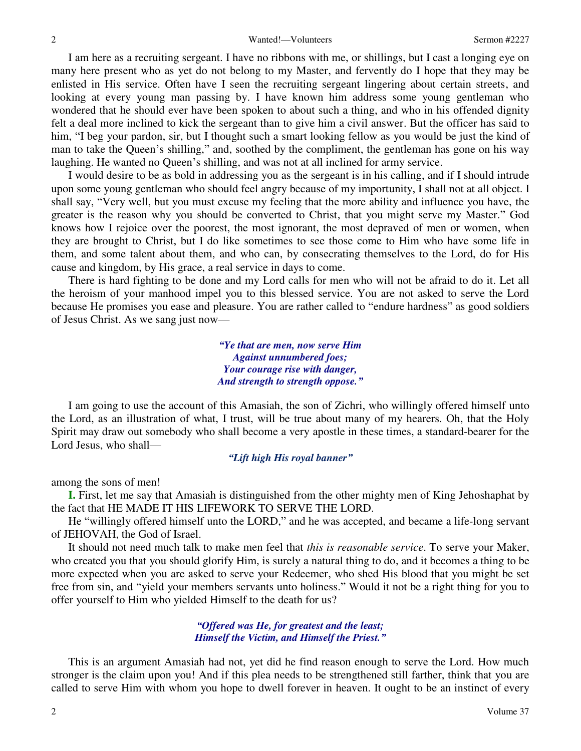I am here as a recruiting sergeant. I have no ribbons with me, or shillings, but I cast a longing eye on many here present who as yet do not belong to my Master, and fervently do I hope that they may be enlisted in His service. Often have I seen the recruiting sergeant lingering about certain streets, and looking at every young man passing by. I have known him address some young gentleman who wondered that he should ever have been spoken to about such a thing, and who in his offended dignity felt a deal more inclined to kick the sergeant than to give him a civil answer. But the officer has said to him, "I beg your pardon, sir, but I thought such a smart looking fellow as you would be just the kind of man to take the Queen's shilling," and, soothed by the compliment, the gentleman has gone on his way laughing. He wanted no Queen's shilling, and was not at all inclined for army service.

 I would desire to be as bold in addressing you as the sergeant is in his calling, and if I should intrude upon some young gentleman who should feel angry because of my importunity, I shall not at all object. I shall say, "Very well, but you must excuse my feeling that the more ability and influence you have, the greater is the reason why you should be converted to Christ, that you might serve my Master." God knows how I rejoice over the poorest, the most ignorant, the most depraved of men or women, when they are brought to Christ, but I do like sometimes to see those come to Him who have some life in them, and some talent about them, and who can, by consecrating themselves to the Lord, do for His cause and kingdom, by His grace, a real service in days to come.

 There is hard fighting to be done and my Lord calls for men who will not be afraid to do it. Let all the heroism of your manhood impel you to this blessed service. You are not asked to serve the Lord because He promises you ease and pleasure. You are rather called to "endure hardness" as good soldiers of Jesus Christ. As we sang just now—

> *"Ye that are men, now serve Him Against unnumbered foes; Your courage rise with danger, And strength to strength oppose."*

I am going to use the account of this Amasiah, the son of Zichri, who willingly offered himself unto the Lord, as an illustration of what, I trust, will be true about many of my hearers. Oh, that the Holy Spirit may draw out somebody who shall become a very apostle in these times, a standard-bearer for the Lord Jesus, who shall—

#### *"Lift high His royal banner"*

among the sons of men!

**I.** First, let me say that Amasiah is distinguished from the other mighty men of King Jehoshaphat by the fact that HE MADE IT HIS LIFEWORK TO SERVE THE LORD.

 He "willingly offered himself unto the LORD," and he was accepted, and became a life-long servant of JEHOVAH, the God of Israel.

 It should not need much talk to make men feel that *this is reasonable service*. To serve your Maker, who created you that you should glorify Him, is surely a natural thing to do, and it becomes a thing to be more expected when you are asked to serve your Redeemer, who shed His blood that you might be set free from sin, and "yield your members servants unto holiness." Would it not be a right thing for you to offer yourself to Him who yielded Himself to the death for us?

### *"Offered was He, for greatest and the least; Himself the Victim, and Himself the Priest."*

 This is an argument Amasiah had not, yet did he find reason enough to serve the Lord. How much stronger is the claim upon you! And if this plea needs to be strengthened still farther, think that you are called to serve Him with whom you hope to dwell forever in heaven. It ought to be an instinct of every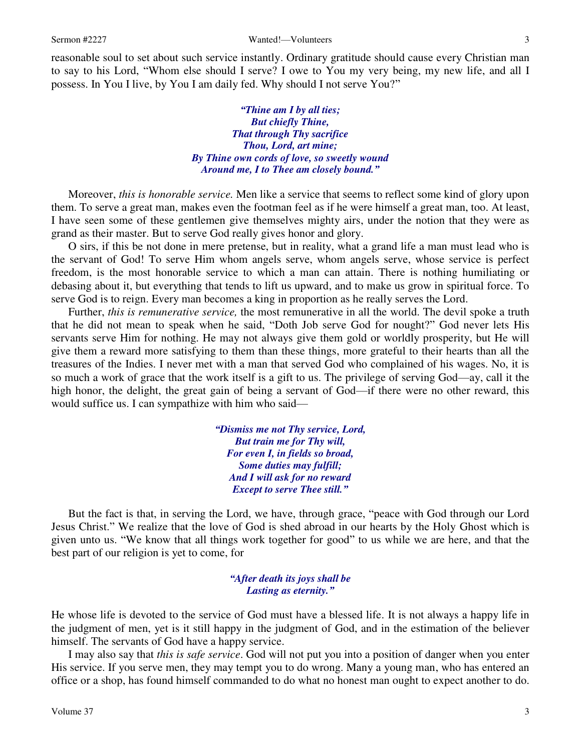reasonable soul to set about such service instantly. Ordinary gratitude should cause every Christian man to say to his Lord, "Whom else should I serve? I owe to You my very being, my new life, and all I possess. In You I live, by You I am daily fed. Why should I not serve You?"

> *"Thine am I by all ties; But chiefly Thine, That through Thy sacrifice Thou, Lord, art mine; By Thine own cords of love, so sweetly wound Around me, I to Thee am closely bound."*

Moreover, *this is honorable service.* Men like a service that seems to reflect some kind of glory upon them. To serve a great man, makes even the footman feel as if he were himself a great man, too. At least, I have seen some of these gentlemen give themselves mighty airs, under the notion that they were as grand as their master. But to serve God really gives honor and glory.

O sirs, if this be not done in mere pretense, but in reality, what a grand life a man must lead who is the servant of God! To serve Him whom angels serve, whom angels serve, whose service is perfect freedom, is the most honorable service to which a man can attain. There is nothing humiliating or debasing about it, but everything that tends to lift us upward, and to make us grow in spiritual force. To serve God is to reign. Every man becomes a king in proportion as he really serves the Lord.

 Further, *this is remunerative service,* the most remunerative in all the world. The devil spoke a truth that he did not mean to speak when he said, "Doth Job serve God for nought?" God never lets His servants serve Him for nothing. He may not always give them gold or worldly prosperity, but He will give them a reward more satisfying to them than these things, more grateful to their hearts than all the treasures of the Indies. I never met with a man that served God who complained of his wages. No, it is so much a work of grace that the work itself is a gift to us. The privilege of serving God—ay, call it the high honor, the delight, the great gain of being a servant of God—if there were no other reward, this would suffice us. I can sympathize with him who said—

> *"Dismiss me not Thy service, Lord, But train me for Thy will, For even I, in fields so broad, Some duties may fulfill; And I will ask for no reward Except to serve Thee still."*

 But the fact is that, in serving the Lord, we have, through grace, "peace with God through our Lord Jesus Christ." We realize that the love of God is shed abroad in our hearts by the Holy Ghost which is given unto us. "We know that all things work together for good" to us while we are here, and that the best part of our religion is yet to come, for

#### *"After death its joys shall be Lasting as eternity."*

He whose life is devoted to the service of God must have a blessed life. It is not always a happy life in the judgment of men, yet is it still happy in the judgment of God, and in the estimation of the believer himself. The servants of God have a happy service.

 I may also say that *this is safe service*. God will not put you into a position of danger when you enter His service. If you serve men, they may tempt you to do wrong. Many a young man, who has entered an office or a shop, has found himself commanded to do what no honest man ought to expect another to do.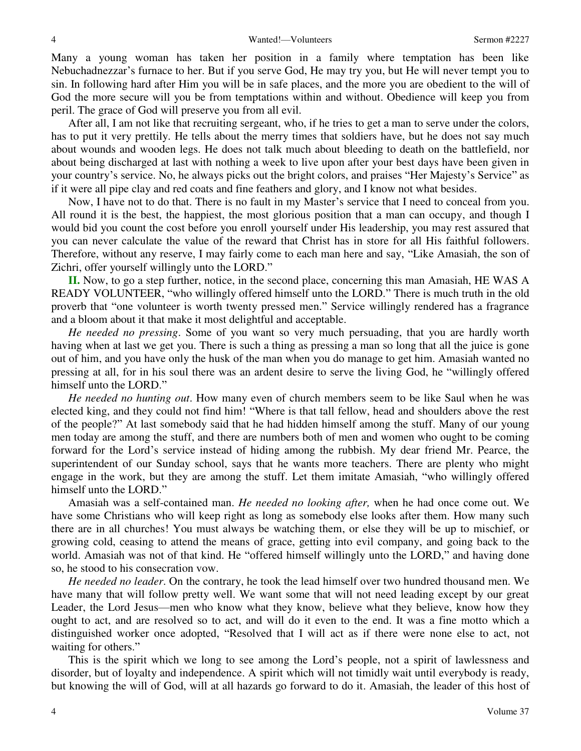Many a young woman has taken her position in a family where temptation has been like Nebuchadnezzar's furnace to her. But if you serve God, He may try you, but He will never tempt you to sin. In following hard after Him you will be in safe places, and the more you are obedient to the will of God the more secure will you be from temptations within and without. Obedience will keep you from peril. The grace of God will preserve you from all evil.

 After all, I am not like that recruiting sergeant, who, if he tries to get a man to serve under the colors, has to put it very prettily. He tells about the merry times that soldiers have, but he does not say much about wounds and wooden legs. He does not talk much about bleeding to death on the battlefield, nor about being discharged at last with nothing a week to live upon after your best days have been given in your country's service. No, he always picks out the bright colors, and praises "Her Majesty's Service" as if it were all pipe clay and red coats and fine feathers and glory, and I know not what besides.

 Now, I have not to do that. There is no fault in my Master's service that I need to conceal from you. All round it is the best, the happiest, the most glorious position that a man can occupy, and though I would bid you count the cost before you enroll yourself under His leadership, you may rest assured that you can never calculate the value of the reward that Christ has in store for all His faithful followers. Therefore, without any reserve, I may fairly come to each man here and say, "Like Amasiah, the son of Zichri, offer yourself willingly unto the LORD."

**II.** Now, to go a step further, notice, in the second place, concerning this man Amasiah, HE WAS A READY VOLUNTEER, "who willingly offered himself unto the LORD." There is much truth in the old proverb that "one volunteer is worth twenty pressed men." Service willingly rendered has a fragrance and a bloom about it that make it most delightful and acceptable.

*He needed no pressing*. Some of you want so very much persuading, that you are hardly worth having when at last we get you. There is such a thing as pressing a man so long that all the juice is gone out of him, and you have only the husk of the man when you do manage to get him. Amasiah wanted no pressing at all, for in his soul there was an ardent desire to serve the living God, he "willingly offered himself unto the LORD."

*He needed no hunting out*. How many even of church members seem to be like Saul when he was elected king, and they could not find him! "Where is that tall fellow, head and shoulders above the rest of the people?" At last somebody said that he had hidden himself among the stuff. Many of our young men today are among the stuff, and there are numbers both of men and women who ought to be coming forward for the Lord's service instead of hiding among the rubbish. My dear friend Mr. Pearce, the superintendent of our Sunday school, says that he wants more teachers. There are plenty who might engage in the work, but they are among the stuff. Let them imitate Amasiah, "who willingly offered himself unto the LORD."

 Amasiah was a self-contained man. *He needed no looking after,* when he had once come out. We have some Christians who will keep right as long as somebody else looks after them. How many such there are in all churches! You must always be watching them, or else they will be up to mischief, or growing cold, ceasing to attend the means of grace, getting into evil company, and going back to the world. Amasiah was not of that kind. He "offered himself willingly unto the LORD," and having done so, he stood to his consecration vow.

*He needed no leader*. On the contrary, he took the lead himself over two hundred thousand men. We have many that will follow pretty well. We want some that will not need leading except by our great Leader, the Lord Jesus—men who know what they know, believe what they believe, know how they ought to act, and are resolved so to act, and will do it even to the end. It was a fine motto which a distinguished worker once adopted, "Resolved that I will act as if there were none else to act, not waiting for others."

 This is the spirit which we long to see among the Lord's people, not a spirit of lawlessness and disorder, but of loyalty and independence. A spirit which will not timidly wait until everybody is ready, but knowing the will of God, will at all hazards go forward to do it. Amasiah, the leader of this host of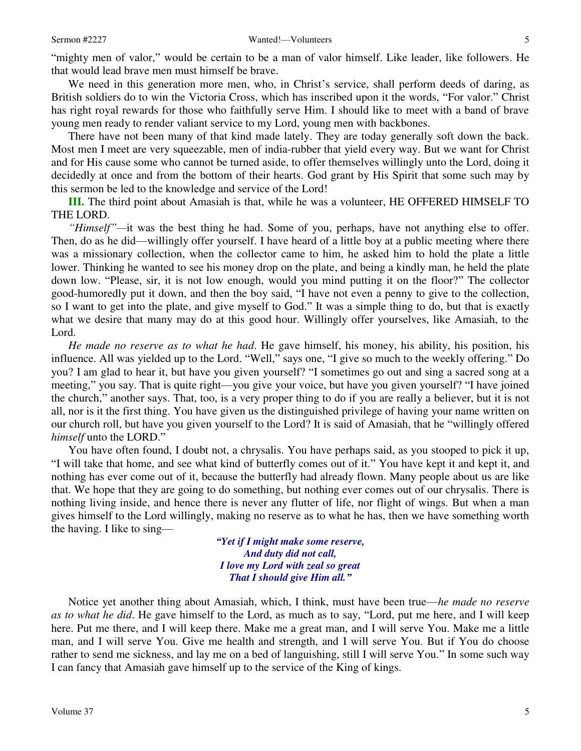We need in this generation more men, who, in Christ's service, shall perform deeds of daring, as British soldiers do to win the Victoria Cross, which has inscribed upon it the words, "For valor." Christ has right royal rewards for those who faithfully serve Him. I should like to meet with a band of brave young men ready to render valiant service to my Lord, young men with backbones.

 There have not been many of that kind made lately. They are today generally soft down the back. Most men I meet are very squeezable, men of india-rubber that yield every way. But we want for Christ and for His cause some who cannot be turned aside, to offer themselves willingly unto the Lord, doing it decidedly at once and from the bottom of their hearts. God grant by His Spirit that some such may by this sermon be led to the knowledge and service of the Lord!

**III.** The third point about Amasiah is that, while he was a volunteer, HE OFFERED HIMSELF TO THE LORD.

*"Himself"—*it was the best thing he had. Some of you, perhaps, have not anything else to offer. Then, do as he did—willingly offer yourself. I have heard of a little boy at a public meeting where there was a missionary collection, when the collector came to him, he asked him to hold the plate a little lower. Thinking he wanted to see his money drop on the plate, and being a kindly man, he held the plate down low. "Please, sir, it is not low enough, would you mind putting it on the floor?" The collector good-humoredly put it down, and then the boy said, "I have not even a penny to give to the collection, so I want to get into the plate, and give myself to God." It was a simple thing to do, but that is exactly what we desire that many may do at this good hour. Willingly offer yourselves, like Amasiah, to the Lord.

*He made no reserve as to what he had*. He gave himself, his money, his ability, his position, his influence. All was yielded up to the Lord. "Well," says one, "I give so much to the weekly offering." Do you? I am glad to hear it, but have you given yourself? "I sometimes go out and sing a sacred song at a meeting," you say. That is quite right—you give your voice, but have you given yourself? "I have joined the church," another says. That, too, is a very proper thing to do if you are really a believer, but it is not all, nor is it the first thing. You have given us the distinguished privilege of having your name written on our church roll, but have you given yourself to the Lord? It is said of Amasiah, that he "willingly offered *himself* unto the LORD."

 You have often found, I doubt not, a chrysalis. You have perhaps said, as you stooped to pick it up, "I will take that home, and see what kind of butterfly comes out of it." You have kept it and kept it, and nothing has ever come out of it, because the butterfly had already flown. Many people about us are like that. We hope that they are going to do something, but nothing ever comes out of our chrysalis. There is nothing living inside, and hence there is never any flutter of life, nor flight of wings. But when a man gives himself to the Lord willingly, making no reserve as to what he has, then we have something worth the having. I like to sing—

> *"Yet if I might make some reserve, And duty did not call, I love my Lord with zeal so great That I should give Him all."*

Notice yet another thing about Amasiah, which, I think, must have been true—*he made no reserve as to what he did*. He gave himself to the Lord, as much as to say, "Lord, put me here, and I will keep here. Put me there, and I will keep there. Make me a great man, and I will serve You. Make me a little man, and I will serve You. Give me health and strength, and I will serve You. But if You do choose rather to send me sickness, and lay me on a bed of languishing, still I will serve You." In some such way I can fancy that Amasiah gave himself up to the service of the King of kings.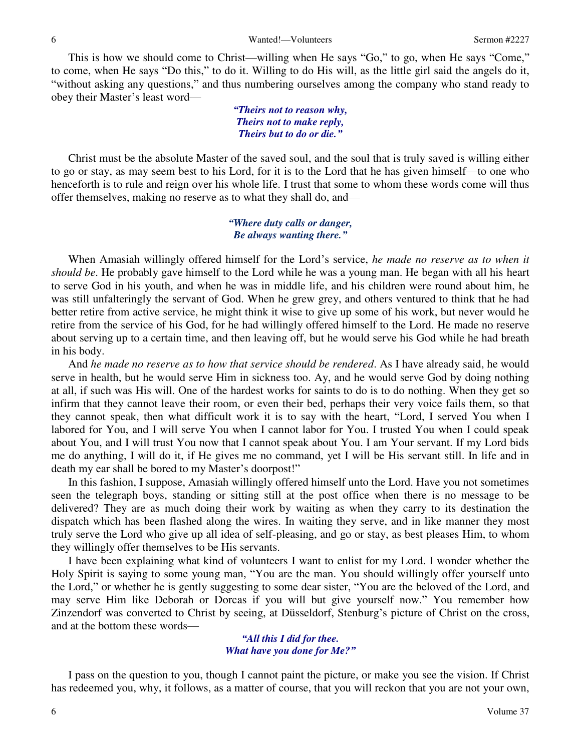This is how we should come to Christ—willing when He says "Go," to go, when He says "Come," to come, when He says "Do this," to do it. Willing to do His will, as the little girl said the angels do it, "without asking any questions," and thus numbering ourselves among the company who stand ready to obey their Master's least word—

> *"Theirs not to reason why, Theirs not to make reply, Theirs but to do or die."*

 Christ must be the absolute Master of the saved soul, and the soul that is truly saved is willing either to go or stay, as may seem best to his Lord, for it is to the Lord that he has given himself—to one who henceforth is to rule and reign over his whole life. I trust that some to whom these words come will thus offer themselves, making no reserve as to what they shall do, and—

### *"Where duty calls or danger, Be always wanting there."*

When Amasiah willingly offered himself for the Lord's service, *he made no reserve as to when it should be*. He probably gave himself to the Lord while he was a young man. He began with all his heart to serve God in his youth, and when he was in middle life, and his children were round about him, he was still unfalteringly the servant of God. When he grew grey, and others ventured to think that he had better retire from active service, he might think it wise to give up some of his work, but never would he retire from the service of his God, for he had willingly offered himself to the Lord. He made no reserve about serving up to a certain time, and then leaving off, but he would serve his God while he had breath in his body.

 And *he made no reserve as to how that service should be rendered*. As I have already said, he would serve in health, but he would serve Him in sickness too. Ay, and he would serve God by doing nothing at all, if such was His will. One of the hardest works for saints to do is to do nothing. When they get so infirm that they cannot leave their room, or even their bed, perhaps their very voice fails them, so that they cannot speak, then what difficult work it is to say with the heart, "Lord, I served You when I labored for You, and I will serve You when I cannot labor for You. I trusted You when I could speak about You, and I will trust You now that I cannot speak about You. I am Your servant. If my Lord bids me do anything, I will do it, if He gives me no command, yet I will be His servant still. In life and in death my ear shall be bored to my Master's doorpost!"

 In this fashion, I suppose, Amasiah willingly offered himself unto the Lord. Have you not sometimes seen the telegraph boys, standing or sitting still at the post office when there is no message to be delivered? They are as much doing their work by waiting as when they carry to its destination the dispatch which has been flashed along the wires. In waiting they serve, and in like manner they most truly serve the Lord who give up all idea of self-pleasing, and go or stay, as best pleases Him, to whom they willingly offer themselves to be His servants.

 I have been explaining what kind of volunteers I want to enlist for my Lord. I wonder whether the Holy Spirit is saying to some young man, "You are the man. You should willingly offer yourself unto the Lord," or whether he is gently suggesting to some dear sister, "You are the beloved of the Lord, and may serve Him like Deborah or Dorcas if you will but give yourself now." You remember how Zinzendorf was converted to Christ by seeing, at Düsseldorf, Stenburg's picture of Christ on the cross, and at the bottom these words—

#### *"All this I did for thee. What have you done for Me?"*

 I pass on the question to you, though I cannot paint the picture, or make you see the vision. If Christ has redeemed you, why, it follows, as a matter of course, that you will reckon that you are not your own,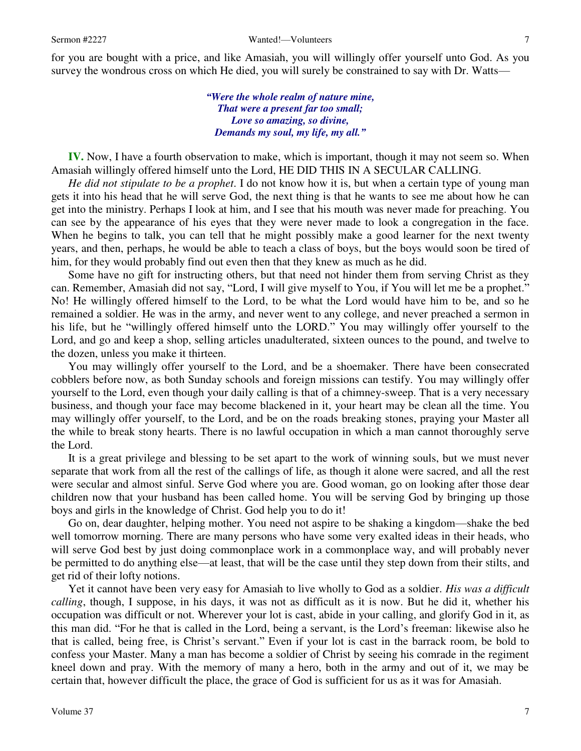for you are bought with a price, and like Amasiah, you will willingly offer yourself unto God. As you survey the wondrous cross on which He died, you will surely be constrained to say with Dr. Watts—

> *"Were the whole realm of nature mine, That were a present far too small; Love so amazing, so divine, Demands my soul, my life, my all."*

**IV.** Now, I have a fourth observation to make, which is important, though it may not seem so. When Amasiah willingly offered himself unto the Lord, HE DID THIS IN A SECULAR CALLING.

*He did not stipulate to be a prophet*. I do not know how it is, but when a certain type of young man gets it into his head that he will serve God, the next thing is that he wants to see me about how he can get into the ministry. Perhaps I look at him, and I see that his mouth was never made for preaching. You can see by the appearance of his eyes that they were never made to look a congregation in the face. When he begins to talk, you can tell that he might possibly make a good learner for the next twenty years, and then, perhaps, he would be able to teach a class of boys, but the boys would soon be tired of him, for they would probably find out even then that they knew as much as he did.

 Some have no gift for instructing others, but that need not hinder them from serving Christ as they can. Remember, Amasiah did not say, "Lord, I will give myself to You, if You will let me be a prophet." No! He willingly offered himself to the Lord, to be what the Lord would have him to be, and so he remained a soldier. He was in the army, and never went to any college, and never preached a sermon in his life, but he "willingly offered himself unto the LORD." You may willingly offer yourself to the Lord, and go and keep a shop, selling articles unadulterated, sixteen ounces to the pound, and twelve to the dozen, unless you make it thirteen.

 You may willingly offer yourself to the Lord, and be a shoemaker. There have been consecrated cobblers before now, as both Sunday schools and foreign missions can testify. You may willingly offer yourself to the Lord, even though your daily calling is that of a chimney-sweep. That is a very necessary business, and though your face may become blackened in it, your heart may be clean all the time. You may willingly offer yourself, to the Lord, and be on the roads breaking stones, praying your Master all the while to break stony hearts. There is no lawful occupation in which a man cannot thoroughly serve the Lord.

 It is a great privilege and blessing to be set apart to the work of winning souls, but we must never separate that work from all the rest of the callings of life, as though it alone were sacred, and all the rest were secular and almost sinful. Serve God where you are. Good woman, go on looking after those dear children now that your husband has been called home. You will be serving God by bringing up those boys and girls in the knowledge of Christ. God help you to do it!

 Go on, dear daughter, helping mother. You need not aspire to be shaking a kingdom—shake the bed well tomorrow morning. There are many persons who have some very exalted ideas in their heads, who will serve God best by just doing commonplace work in a commonplace way, and will probably never be permitted to do anything else—at least, that will be the case until they step down from their stilts, and get rid of their lofty notions.

 Yet it cannot have been very easy for Amasiah to live wholly to God as a soldier. *His was a difficult calling*, though, I suppose, in his days, it was not as difficult as it is now. But he did it, whether his occupation was difficult or not. Wherever your lot is cast, abide in your calling, and glorify God in it, as this man did. "For he that is called in the Lord, being a servant, is the Lord's freeman: likewise also he that is called, being free, is Christ's servant." Even if your lot is cast in the barrack room, be bold to confess your Master. Many a man has become a soldier of Christ by seeing his comrade in the regiment kneel down and pray. With the memory of many a hero, both in the army and out of it, we may be certain that, however difficult the place, the grace of God is sufficient for us as it was for Amasiah.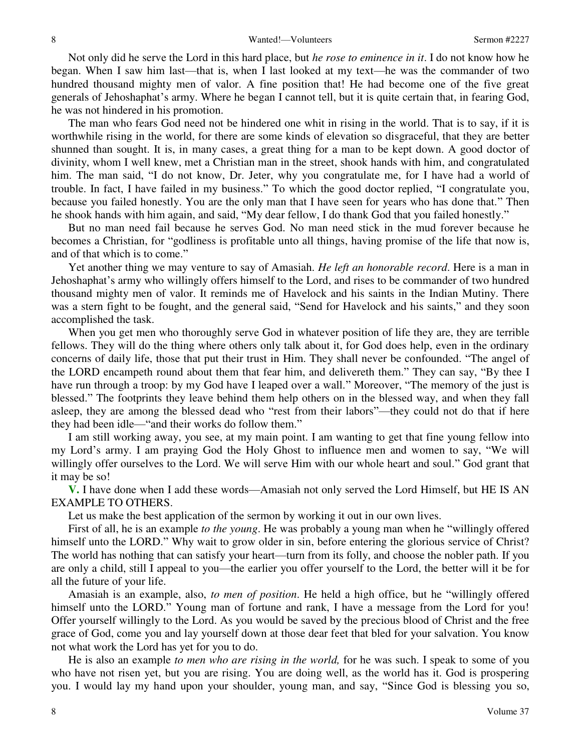Not only did he serve the Lord in this hard place, but *he rose to eminence in it*. I do not know how he began. When I saw him last—that is, when I last looked at my text—he was the commander of two hundred thousand mighty men of valor. A fine position that! He had become one of the five great generals of Jehoshaphat's army. Where he began I cannot tell, but it is quite certain that, in fearing God, he was not hindered in his promotion.

 The man who fears God need not be hindered one whit in rising in the world. That is to say, if it is worthwhile rising in the world, for there are some kinds of elevation so disgraceful, that they are better shunned than sought. It is, in many cases, a great thing for a man to be kept down. A good doctor of divinity, whom I well knew, met a Christian man in the street, shook hands with him, and congratulated him. The man said, "I do not know, Dr. Jeter, why you congratulate me, for I have had a world of trouble. In fact, I have failed in my business." To which the good doctor replied, "I congratulate you, because you failed honestly. You are the only man that I have seen for years who has done that." Then he shook hands with him again, and said, "My dear fellow, I do thank God that you failed honestly."

 But no man need fail because he serves God. No man need stick in the mud forever because he becomes a Christian, for "godliness is profitable unto all things, having promise of the life that now is, and of that which is to come."

 Yet another thing we may venture to say of Amasiah. *He left an honorable record*. Here is a man in Jehoshaphat's army who willingly offers himself to the Lord, and rises to be commander of two hundred thousand mighty men of valor. It reminds me of Havelock and his saints in the Indian Mutiny. There was a stern fight to be fought, and the general said, "Send for Havelock and his saints," and they soon accomplished the task.

When you get men who thoroughly serve God in whatever position of life they are, they are terrible fellows. They will do the thing where others only talk about it, for God does help, even in the ordinary concerns of daily life, those that put their trust in Him. They shall never be confounded. "The angel of the LORD encampeth round about them that fear him, and delivereth them." They can say, "By thee I have run through a troop: by my God have I leaped over a wall." Moreover, "The memory of the just is blessed." The footprints they leave behind them help others on in the blessed way, and when they fall asleep, they are among the blessed dead who "rest from their labors"—they could not do that if here they had been idle—"and their works do follow them."

 I am still working away, you see, at my main point. I am wanting to get that fine young fellow into my Lord's army. I am praying God the Holy Ghost to influence men and women to say, "We will willingly offer ourselves to the Lord. We will serve Him with our whole heart and soul." God grant that it may be so!

**V.** I have done when I add these words—Amasiah not only served the Lord Himself, but HE IS AN EXAMPLE TO OTHERS.

Let us make the best application of the sermon by working it out in our own lives.

 First of all, he is an example *to the young*. He was probably a young man when he "willingly offered himself unto the LORD." Why wait to grow older in sin, before entering the glorious service of Christ? The world has nothing that can satisfy your heart—turn from its folly, and choose the nobler path. If you are only a child, still I appeal to you—the earlier you offer yourself to the Lord, the better will it be for all the future of your life.

 Amasiah is an example, also, *to men of position*. He held a high office, but he "willingly offered himself unto the LORD." Young man of fortune and rank, I have a message from the Lord for you! Offer yourself willingly to the Lord. As you would be saved by the precious blood of Christ and the free grace of God, come you and lay yourself down at those dear feet that bled for your salvation. You know not what work the Lord has yet for you to do.

 He is also an example *to men who are rising in the world,* for he was such. I speak to some of you who have not risen yet, but you are rising. You are doing well, as the world has it. God is prospering you. I would lay my hand upon your shoulder, young man, and say, "Since God is blessing you so,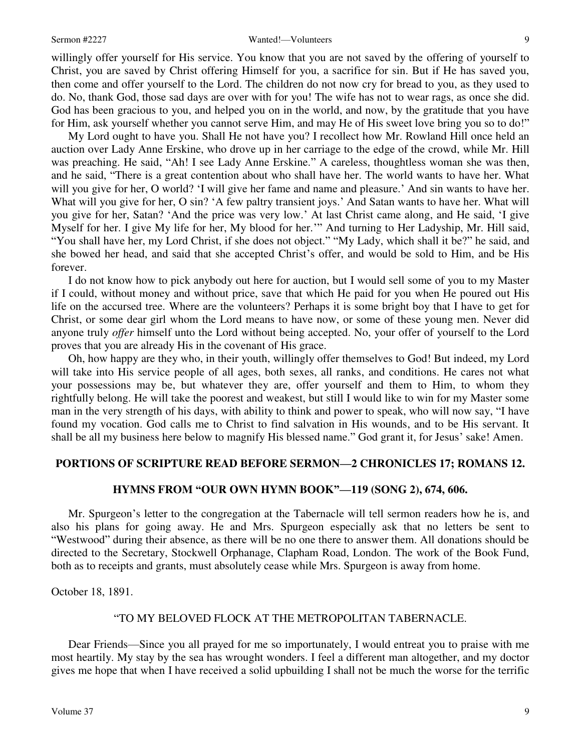#### Sermon #2227 Wanted!—Volunteers 9

willingly offer yourself for His service. You know that you are not saved by the offering of yourself to Christ, you are saved by Christ offering Himself for you, a sacrifice for sin. But if He has saved you, then come and offer yourself to the Lord. The children do not now cry for bread to you, as they used to do. No, thank God, those sad days are over with for you! The wife has not to wear rags, as once she did. God has been gracious to you, and helped you on in the world, and now, by the gratitude that you have

for Him, ask yourself whether you cannot serve Him, and may He of His sweet love bring you so to do!" My Lord ought to have you. Shall He not have you? I recollect how Mr. Rowland Hill once held an auction over Lady Anne Erskine, who drove up in her carriage to the edge of the crowd, while Mr. Hill was preaching. He said, "Ah! I see Lady Anne Erskine." A careless, thoughtless woman she was then, and he said, "There is a great contention about who shall have her. The world wants to have her. What will you give for her, O world? 'I will give her fame and name and pleasure.' And sin wants to have her. What will you give for her, O sin? 'A few paltry transient joys.' And Satan wants to have her. What will you give for her, Satan? 'And the price was very low.' At last Christ came along, and He said, 'I give Myself for her. I give My life for her, My blood for her.'" And turning to Her Ladyship, Mr. Hill said, "You shall have her, my Lord Christ, if she does not object." "My Lady, which shall it be?" he said, and she bowed her head, and said that she accepted Christ's offer, and would be sold to Him, and be His forever.

 I do not know how to pick anybody out here for auction, but I would sell some of you to my Master if I could, without money and without price, save that which He paid for you when He poured out His life on the accursed tree. Where are the volunteers? Perhaps it is some bright boy that I have to get for Christ, or some dear girl whom the Lord means to have now, or some of these young men. Never did anyone truly *offer* himself unto the Lord without being accepted. No, your offer of yourself to the Lord proves that you are already His in the covenant of His grace.

 Oh, how happy are they who, in their youth, willingly offer themselves to God! But indeed, my Lord will take into His service people of all ages, both sexes, all ranks, and conditions. He cares not what your possessions may be, but whatever they are, offer yourself and them to Him, to whom they rightfully belong. He will take the poorest and weakest, but still I would like to win for my Master some man in the very strength of his days, with ability to think and power to speak, who will now say, "I have found my vocation. God calls me to Christ to find salvation in His wounds, and to be His servant. It shall be all my business here below to magnify His blessed name." God grant it, for Jesus' sake! Amen.

### **PORTIONS OF SCRIPTURE READ BEFORE SERMON—2 CHRONICLES 17; ROMANS 12.**

## **HYMNS FROM "OUR OWN HYMN BOOK"—119 (SONG 2), 674, 606.**

 Mr. Spurgeon's letter to the congregation at the Tabernacle will tell sermon readers how he is, and also his plans for going away. He and Mrs. Spurgeon especially ask that no letters be sent to "Westwood" during their absence, as there will be no one there to answer them. All donations should be directed to the Secretary, Stockwell Orphanage, Clapham Road, London. The work of the Book Fund, both as to receipts and grants, must absolutely cease while Mrs. Spurgeon is away from home.

October 18, 1891.

#### "TO MY BELOVED FLOCK AT THE METROPOLITAN TABERNACLE.

 Dear Friends—Since you all prayed for me so importunately, I would entreat you to praise with me most heartily. My stay by the sea has wrought wonders. I feel a different man altogether, and my doctor gives me hope that when I have received a solid upbuilding I shall not be much the worse for the terrific